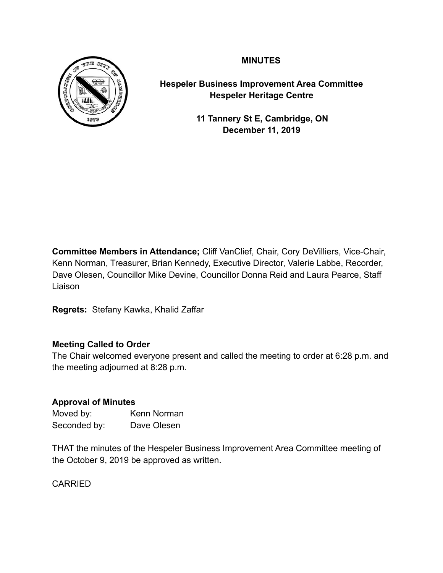# **MINUTES**



**Hespeler Business Improvement Area Committee Hespeler Heritage Centre** 

> **11 Tannery St E, Cambridge, ON December 11, 2019**

**Committee Members in Attendance;** Cliff VanClief, Chair, Cory DeVilliers, Vice-Chair, Kenn Norman, Treasurer, Brian Kennedy, Executive Director, Valerie Labbe, Recorder, Dave Olesen, Councillor Mike Devine, Councillor Donna Reid and Laura Pearce, Staff Liaison

**Regrets:** Stefany Kawka, Khalid Zaffar

## **Meeting Called to Order**

The Chair welcomed everyone present and called the meeting to order at 6:28 p.m. and the meeting adjourned at 8:28 p.m.

## **Approval of Minutes**

Moved by: Kenn Norman Seconded by: Dave Olesen

THAT the minutes of the Hespeler Business Improvement Area Committee meeting of the October 9, 2019 be approved as written.

CARRIED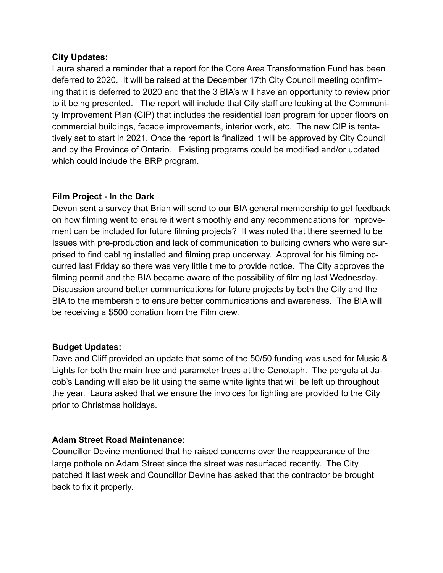### **City Updates:**

Laura shared a reminder that a report for the Core Area Transformation Fund has been deferred to 2020. It will be raised at the December 17th City Council meeting confirming that it is deferred to 2020 and that the 3 BIA's will have an opportunity to review prior to it being presented. The report will include that City staff are looking at the Community Improvement Plan (CIP) that includes the residential loan program for upper floors on commercial buildings, facade improvements, interior work, etc. The new CIP is tentatively set to start in 2021. Once the report is finalized it will be approved by City Council and by the Province of Ontario. Existing programs could be modified and/or updated which could include the BRP program.

# **Film Project - In the Dark**

Devon sent a survey that Brian will send to our BIA general membership to get feedback on how filming went to ensure it went smoothly and any recommendations for improvement can be included for future filming projects? It was noted that there seemed to be Issues with pre-production and lack of communication to building owners who were surprised to find cabling installed and filming prep underway. Approval for his filming occurred last Friday so there was very little time to provide notice. The City approves the filming permit and the BIA became aware of the possibility of filming last Wednesday. Discussion around better communications for future projects by both the City and the BIA to the membership to ensure better communications and awareness. The BIA will be receiving a \$500 donation from the Film crew.

## **Budget Updates:**

Dave and Cliff provided an update that some of the 50/50 funding was used for Music & Lights for both the main tree and parameter trees at the Cenotaph. The pergola at Jacob's Landing will also be lit using the same white lights that will be left up throughout the year. Laura asked that we ensure the invoices for lighting are provided to the City prior to Christmas holidays.

## **Adam Street Road Maintenance:**

Councillor Devine mentioned that he raised concerns over the reappearance of the large pothole on Adam Street since the street was resurfaced recently. The City patched it last week and Councillor Devine has asked that the contractor be brought back to fix it properly.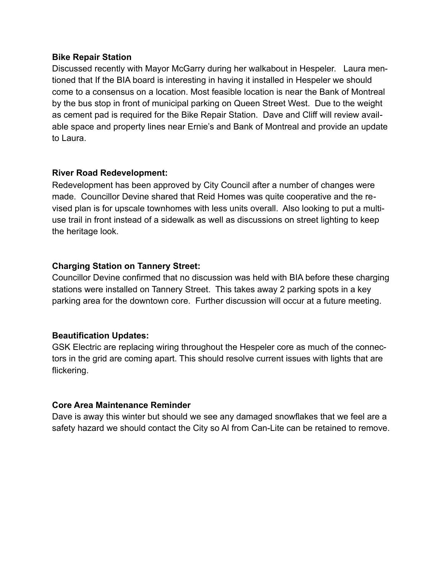#### **Bike Repair Station**

Discussed recently with Mayor McGarry during her walkabout in Hespeler. Laura mentioned that If the BIA board is interesting in having it installed in Hespeler we should come to a consensus on a location. Most feasible location is near the Bank of Montreal by the bus stop in front of municipal parking on Queen Street West. Due to the weight as cement pad is required for the Bike Repair Station. Dave and Cliff will review available space and property lines near Ernie's and Bank of Montreal and provide an update to Laura.

### **River Road Redevelopment:**

Redevelopment has been approved by City Council after a number of changes were made. Councillor Devine shared that Reid Homes was quite cooperative and the revised plan is for upscale townhomes with less units overall. Also looking to put a multiuse trail in front instead of a sidewalk as well as discussions on street lighting to keep the heritage look.

### **Charging Station on Tannery Street:**

Councillor Devine confirmed that no discussion was held with BIA before these charging stations were installed on Tannery Street. This takes away 2 parking spots in a key parking area for the downtown core. Further discussion will occur at a future meeting.

#### **Beautification Updates:**

GSK Electric are replacing wiring throughout the Hespeler core as much of the connectors in the grid are coming apart. This should resolve current issues with lights that are flickering.

## **Core Area Maintenance Reminder**

Dave is away this winter but should we see any damaged snowflakes that we feel are a safety hazard we should contact the City so Al from Can-Lite can be retained to remove.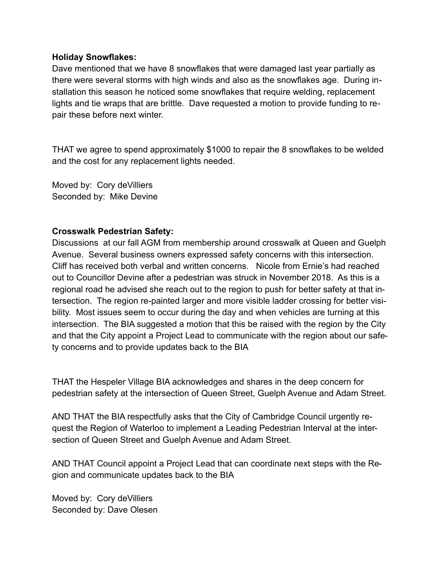### **Holiday Snowflakes:**

Dave mentioned that we have 8 snowflakes that were damaged last year partially as there were several storms with high winds and also as the snowflakes age. During installation this season he noticed some snowflakes that require welding, replacement lights and tie wraps that are brittle. Dave requested a motion to provide funding to repair these before next winter.

THAT we agree to spend approximately \$1000 to repair the 8 snowflakes to be welded and the cost for any replacement lights needed.

Moved by: Cory deVilliers Seconded by: Mike Devine

### **Crosswalk Pedestrian Safety:**

Discussions at our fall AGM from membership around crosswalk at Queen and Guelph Avenue. Several business owners expressed safety concerns with this intersection. Cliff has received both verbal and written concerns. Nicole from Ernie's had reached out to Councillor Devine after a pedestrian was struck in November 2018. As this is a regional road he advised she reach out to the region to push for better safety at that intersection. The region re-painted larger and more visible ladder crossing for better visibility. Most issues seem to occur during the day and when vehicles are turning at this intersection. The BIA suggested a motion that this be raised with the region by the City and that the City appoint a Project Lead to communicate with the region about our safety concerns and to provide updates back to the BIA

THAT the Hespeler Village BIA acknowledges and shares in the deep concern for pedestrian safety at the intersection of Queen Street, Guelph Avenue and Adam Street.

AND THAT the BIA respectfully asks that the City of Cambridge Council urgently request the Region of Waterloo to implement a Leading Pedestrian Interval at the intersection of Queen Street and Guelph Avenue and Adam Street.

AND THAT Council appoint a Project Lead that can coordinate next steps with the Region and communicate updates back to the BIA

Moved by: Cory deVilliers Seconded by: Dave Olesen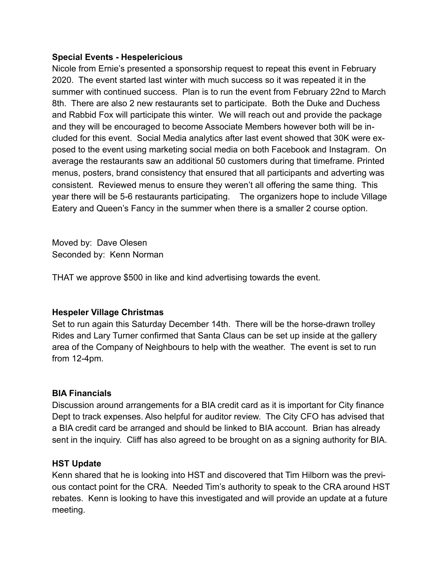### **Special Events - Hespelericious**

Nicole from Ernie's presented a sponsorship request to repeat this event in February 2020. The event started last winter with much success so it was repeated it in the summer with continued success. Plan is to run the event from February 22nd to March 8th. There are also 2 new restaurants set to participate. Both the Duke and Duchess and Rabbid Fox will participate this winter. We will reach out and provide the package and they will be encouraged to become Associate Members however both will be included for this event. Social Media analytics after last event showed that 30K were exposed to the event using marketing social media on both Facebook and Instagram. On average the restaurants saw an additional 50 customers during that timeframe. Printed menus, posters, brand consistency that ensured that all participants and adverting was consistent. Reviewed menus to ensure they weren't all offering the same thing. This year there will be 5-6 restaurants participating. The organizers hope to include Village Eatery and Queen's Fancy in the summer when there is a smaller 2 course option.

Moved by: Dave Olesen Seconded by: Kenn Norman

THAT we approve \$500 in like and kind advertising towards the event.

## **Hespeler Village Christmas**

Set to run again this Saturday December 14th. There will be the horse-drawn trolley Rides and Lary Turner confirmed that Santa Claus can be set up inside at the gallery area of the Company of Neighbours to help with the weather. The event is set to run from 12-4pm.

## **BIA Financials**

Discussion around arrangements for a BIA credit card as it is important for City finance Dept to track expenses. Also helpful for auditor review. The City CFO has advised that a BIA credit card be arranged and should be linked to BIA account. Brian has already sent in the inquiry. Cliff has also agreed to be brought on as a signing authority for BIA.

## **HST Update**

Kenn shared that he is looking into HST and discovered that Tim Hilborn was the previous contact point for the CRA. Needed Tim's authority to speak to the CRA around HST rebates. Kenn is looking to have this investigated and will provide an update at a future meeting.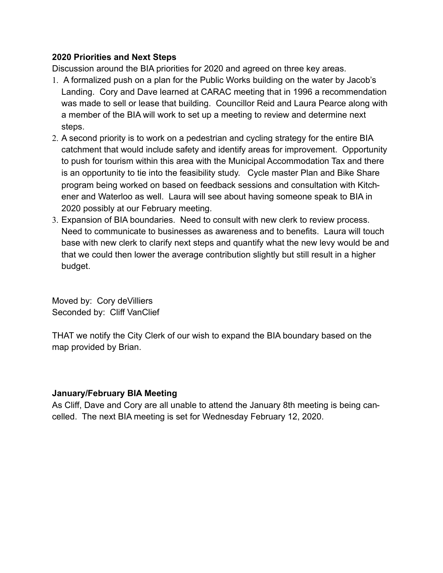### **2020 Priorities and Next Steps**

Discussion around the BIA priorities for 2020 and agreed on three key areas.

- 1. A formalized push on a plan for the Public Works building on the water by Jacob's Landing. Cory and Dave learned at CARAC meeting that in 1996 a recommendation was made to sell or lease that building. Councillor Reid and Laura Pearce along with a member of the BIA will work to set up a meeting to review and determine next steps.
- 2. A second priority is to work on a pedestrian and cycling strategy for the entire BIA catchment that would include safety and identify areas for improvement. Opportunity to push for tourism within this area with the Municipal Accommodation Tax and there is an opportunity to tie into the feasibility study. Cycle master Plan and Bike Share program being worked on based on feedback sessions and consultation with Kitchener and Waterloo as well. Laura will see about having someone speak to BIA in 2020 possibly at our February meeting.
- 3. Expansion of BIA boundaries. Need to consult with new clerk to review process. Need to communicate to businesses as awareness and to benefits. Laura will touch base with new clerk to clarify next steps and quantify what the new levy would be and that we could then lower the average contribution slightly but still result in a higher budget.

Moved by: Cory deVilliers Seconded by: Cliff VanClief

THAT we notify the City Clerk of our wish to expand the BIA boundary based on the map provided by Brian.

## **January/February BIA Meeting**

As Cliff, Dave and Cory are all unable to attend the January 8th meeting is being cancelled. The next BIA meeting is set for Wednesday February 12, 2020.